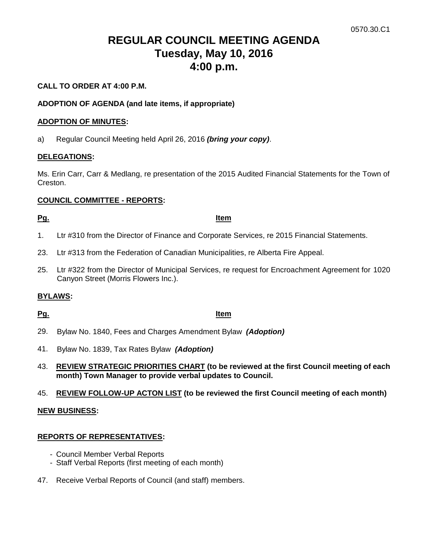# **REGULAR COUNCIL MEETING AGENDA Tuesday, May 10, 2016 4:00 p.m.**

### **CALL TO ORDER AT 4:00 P.M.**

### **ADOPTION OF AGENDA (and late items, if appropriate)**

### **ADOPTION OF MINUTES:**

a) Regular Council Meeting held April 26, 2016 *(bring your copy)*.

### **DELEGATIONS:**

Ms. Erin Carr, Carr & Medlang, re presentation of the 2015 Audited Financial Statements for the Town of Creston.

### **COUNCIL COMMITTEE - REPORTS:**

### **Pg. Item**

- 1. Ltr #310 from the Director of Finance and Corporate Services, re 2015 Financial Statements.
- 23. Ltr #313 from the Federation of Canadian Municipalities, re Alberta Fire Appeal.
- 25. Ltr #322 from the Director of Municipal Services, re request for Encroachment Agreement for 1020 Canyon Street (Morris Flowers Inc.).

### **BYLAWS:**

### **Pg. Item**

- 29. Bylaw No. 1840, Fees and Charges Amendment Bylaw *(Adoption)*
- 41. Bylaw No. 1839, Tax Rates Bylaw *(Adoption)*
- 43. **REVIEW STRATEGIC PRIORITIES CHART (to be reviewed at the first Council meeting of each month) Town Manager to provide verbal updates to Council.**
- 45. **REVIEW FOLLOW-UP ACTON LIST (to be reviewed the first Council meeting of each month)**

### **NEW BUSINESS:**

### **REPORTS OF REPRESENTATIVES:**

- Council Member Verbal Reports
- Staff Verbal Reports (first meeting of each month)
- 47. Receive Verbal Reports of Council (and staff) members.